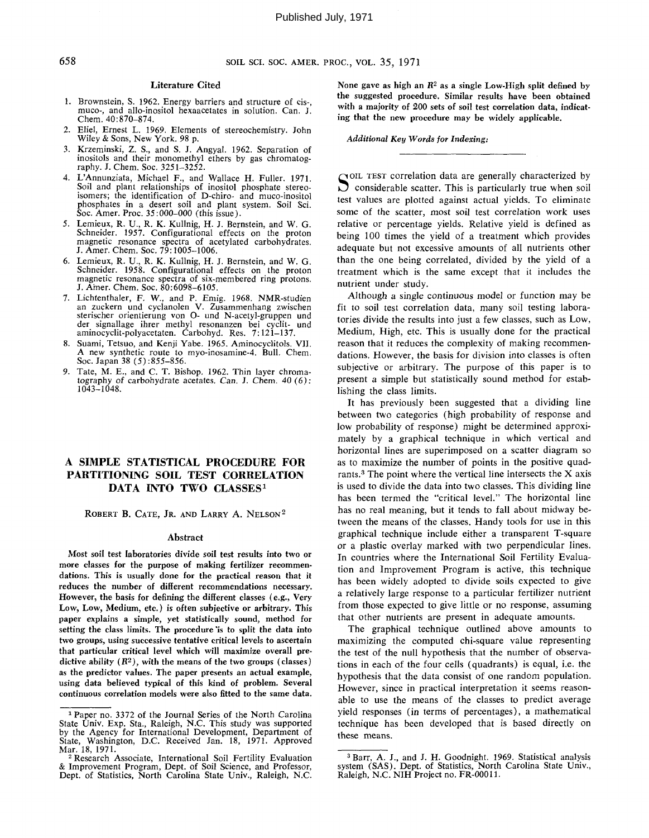### **Literature Cited**

- 1. Brownstein, S. 1962. Energy barriers and structure of cis-. muco-, and allo-inositol hexaacetates in solution. Can. J. Chem. 40:870-874.
- Eliel, Ernest L. 1969. Elements of stereochemistry. John  $2.$ Wiley & Sons, New York. 98 p.
- 3. Krzeminski, Z. S., and S. J. Angyal. 1962. Separation of inositols and their monomethyl ethers by gas chromatography. J. Chem. Soc. 3251-3252.
- 4. L'Annunziata, Michael F., and Wallace H. Fuller. 1971. Soil and plant relationships of inositol phosphate stereoisomers; the identification of D-chiro- and muco-inositol phosphates in a desert soil and plant system. Soil Sci. Soc. Amer. Proc. 35:000-000 (this issue).
- 5. Lemieux, R. U., R. K. Kullnig, H. J. Bernstein, and W. G. Schneider. 1957. Configurational effects on the proton magnetic resonance spectra of acetylated carbohydrates.<br>J. Amer. Chem. Soc. 79:1005-1006.
- 6. Lemieux, R. U., R. K. Kullnig, H. J. Bernstein, and W. G. Schneider. 1958. Configurational effects on the proton magnetic resonance spectra of six-membered ring protons. J. Amer. Chem. Soc. 80:6098-6105.
- 7. Lichtenthaler, F. W., and P. Emig. 1968. NMR-studien<br>an zuckern und cyclanolen V. Zusammenhang zwischen<br>sterischer orientierung von O- und N-acetyl-gruppen und der signallage ihrer methyl resonanzen bei cyclitund aminocyclit-polyacetaten. Carbohyd. Res. 7:121-137.
- 8. Suami, Tetsuo, and Kenji Yabe. 1965. Aminocyclitols. VII. A new synthetic route to myo-inosamine-4. Bull. Chem. Soc. Japan 38 (5):855-856.
- 9. Tate, M. E., and C. T. Bishop. 1962. Thin laver chromatack, the c. T. Bishop. 1962. The layer emona-<br>tography of carbohydrate acetates. Can. J. Chem. 40 (6):<br>1043-1048.

# **A SIMPLE STATISTICAL PROCEDURE FOR PARTITIONING SOIL TEST CORRELATION DATA INTO TWO** CLASSES<sup>1</sup>

ROBERT B. CATE, JR. AND LARRY A. NELSON<sup>2</sup>

#### **Abstract**

**Most soil test laboratories divide soil test results into two or more classes for the purpose of making fertilizer recommendations. This is usually done for the practical reason that it reduces the number of different recommendations necessary. However, the basis for defining the different classes (e.g., Very Low, Low, Medium, etc.) is often subjective or arbitrary. This paper explains a simple, yet statistically sound, method for setting the class limits. The procedure 'is to split the data into two groups, using successive tentative critical levels to ascertain that particular critical level which will maximize overall predictive ability (R<sup>2</sup> ), with the means of the two groups (classes) as the predictor values. The paper presents an actual example, using data believed typical of this kind of problem. Several continuous correlation models were also fitted to the same data.**

**None gave as high an R<sup>2</sup> as a single Low-High split defined by the suggested procedure. Similar results have been obtained with a majority of 200 sets of soil test correlation data, indicating that the new procedure may be widely applicable.**

#### *Additional Key Words for Indexing:*

SOIL TEST correlation data are generally characterized by considerable scatter. This is particularly true when soil OIL TEST correlation data are generally characterized by test values are plotted against actual yields. To eliminate some of the scatter, most soil test correlation work uses relative or percentage yields. Relative yield is defined as being 100 times the yield of a treatment which provides adequate but not excessive amounts of all nutrients other than the one being correlated, divided by the yield of a treatment which is the same except that it includes the nutrient under study.

Although a single continuous model or function may be fit to soil test correlation data, many soil testing laboratories divide the results into just a few classes, such as Low, Medium, High, etc. This is usually done for the practical reason that it reduces the complexity of making recommendations. However, the basis for division into classes is often subjective or arbitrary. The purpose of this paper is to present a simple but statistically sound method for establishing the class limits.

It has previously been suggested that a dividing line between two categories (high probability of response and low probability of response) might be determined approximately by a graphical technique in which vertical and *horizontal* lines are superimposed on a scatter diagram so as to maximize the number of points in the positive quadrants.<sup>3</sup> The point where the vertical line intersects the X axis is used to divide the data into two classes. This dividing line has been termed the "critical level." The horizontal line has no real meaning, but it tends to fall about midway between the means of the classes. Handy tools for use in this graphical technique include either a transparent T-square or a plastic overlay marked with two perpendicular lines. In countries where the International Soil Fertility Evaluation and Improvement Program is active, this technique has been widely adopted to divide soils expected to give a relatively large response to a particular fertilizer nutrient from those expected to give little or no response, assuming that other nutrients are present in adequate amounts.

The graphical technique outlined above amounts to maximizing the computed chi-square value representing the test of the null hypothesis that the number of observations in each of the four cells (quadrants) is equal, i.e. the hypothesis that the data consist of one random population. However, since in practical interpretation it seems reasonable to use the means of the classes to predict average yield responses (in terms of percentages), a mathematical technique has been developed that is based directly on these means.

<sup>&</sup>lt;sup>1</sup> Paper no. 3372 of the Journal Series of the North Carolina State Univ. Exp. Sta., Raleigh, N.C. This study was supported by the Agency for International Development, Department of State, Washington, D.C. Received Jan. 18, 1971. Approved Mar. 18, 1971.

<sup>&</sup>lt;sup>2</sup> Research Associate, International Soil Fertility Evaluation & Improvement Program, Dept, of Soil Science, and Professor, Dept, of Statistics, North Carolina State Univ., Raleigh, N.C.

<sup>&</sup>lt;sup>3</sup> Barr, A. J., and J. H. Goodnight. 1969. Statistical analysis system (SAS). Dept. of Statistics, North Carolina State Univ., Raleigh, N.C. NIH Project no. FR-00011.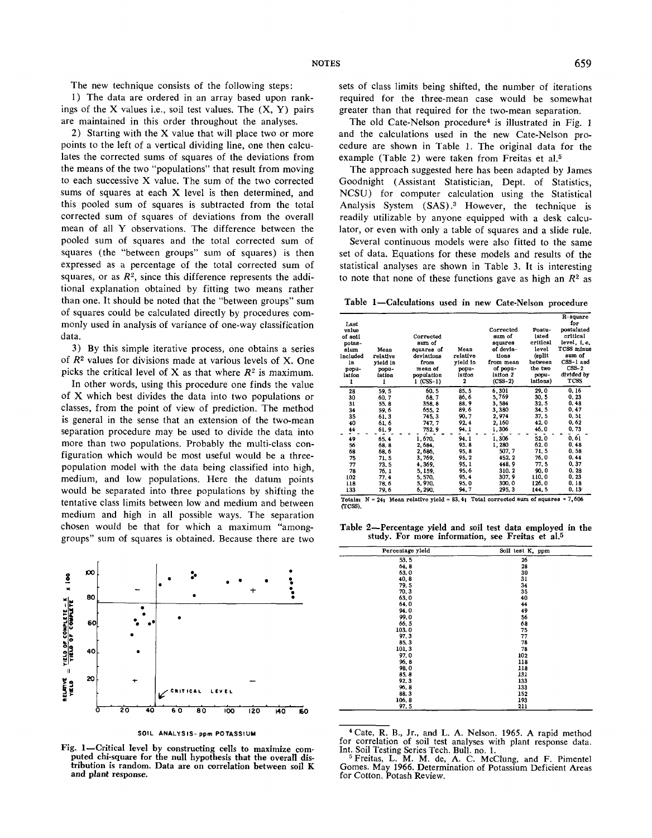The new technique consists of the following steps:

1) The data are ordered in an array based upon rankings of the  $X$  values i.e., soil test values. The  $(X, Y)$  pairs are maintained in this order throughout the analyses.

2) Starting with the X value that will place two or more points to the left of a vertical dividing line, one then calculates the corrected sums of squares of the deviations from the means of the two "populations" that result from moving to each successive X value. The sum of the two corrected sums of squares at each  $X$  level is then determined, and this pooled sum of squares is subtracted from the total corrected sum of squares of deviations from the overall mean of all Y observations. The difference between the pooled sum of squares and the total corrected sum of squares (the "between groups" sum of squares) is then expressed as a percentage of the total corrected sum of squares, or as  $R^2$ , since this difference represents the additional explanation obtained by fitting two means rather than one. It should be noted that the "between groups" sum of squares could be calculated directly by procedures commonly used in analysis of variance of one-way classification data.

3) By this simple iterative process, one obtains a series of *R<sup>2</sup>* values for divisions made at various levels of X. One picks the critical level of X as that where  $R^2$  is maximum.

In other words, using this procedure one finds the value of X which best divides the data into two populations or classes, from the point of view of prediction. The method is general in the sense that an extension of the two-mean separation procedure may be used to divide the data into more than two populations. Probably the multi-class configuration which would be most useful would be a threepopulation model with the data being classified into high, medium, and low populations. Here the datum points would be separated into three populations by shifting the tentative class limits between low and medium and between medium and high in all possible ways. The separation chosen would be that for which a maximum "amonggroups" sum of squares is obtained. Because there are two



**SOIL ANALYSIS-ppm POTASSIUM**

**Fig. 1—Critical level by constructing cells to maximize computed chi-square for the null hypothesis that the overall distribution is random. Data are on correlation between soil K and plant response.**

sets of class limits being shifted, the number of iterations required for the three-mean case would be somewhat greater than that required for the two-mean separation.

The old Cate-Nelson procedure<sup>4</sup> is illustrated in Fig. 1 and the calculations used in the new Cate-Nelson procedure are shown in Table 1. The original data for the example (Table 2) were taken from Freitas et al.<sup>5</sup>

The approach suggested here has been adapted by James Goodnight (Assistant Statistician, Dept. of Statistics, NCSU) for computer calculation using the Statistical Analysis System (SAS).<sup>3</sup> However, the technique is readily utilizable by anyone equipped with a desk calculator, or even with only a table of squares and a slide rule.

Several continuous models were also fitted to the same set of data. Equations for these models and results of the statistical analyses are shown in Table 3. It is interesting to note that none of these functions gave as high an  $R^2$  as

**Table 1—Calculations used in new** Cate-Nelson **procedure**

| Last<br>value<br>of soil<br>potas-<br>slum<br>lncluded<br>ln<br>popu-<br>lation<br>ı | Меап<br>relative<br>yield in<br>popu-<br>lation | Corrected<br>sum of<br>squares of<br>devlations<br>from<br>mean of<br>population<br>$1 (CSS-1)$ | Mean<br>relative<br>vield in<br>popu-<br>lation<br>2 | Corrected<br>sum of<br>squares<br>of devia-<br>tions<br>from mean<br>of popu-<br>lation 2<br>(CSS-2) | Postu-<br>lated<br>critical<br>level<br>(split)<br>between<br>the two<br>popu-<br>lations) | R-square<br>for<br>postulated<br>critical<br>level, i, e,<br>TCSS minus<br>sum of<br>CSS-1 and<br>$CSS-2$<br>divided by<br>TCSS |
|--------------------------------------------------------------------------------------|-------------------------------------------------|-------------------------------------------------------------------------------------------------|------------------------------------------------------|------------------------------------------------------------------------------------------------------|--------------------------------------------------------------------------------------------|---------------------------------------------------------------------------------------------------------------------------------|
| 28                                                                                   | 59.5                                            | 60.5                                                                                            | 85.5                                                 | 6,301                                                                                                | 29.0                                                                                       | 0.16                                                                                                                            |
| 30                                                                                   | 60.7                                            | 68.7                                                                                            | 86.6                                                 | 5,769                                                                                                | 30.5                                                                                       | 0.23                                                                                                                            |
| 31                                                                                   | 55.8                                            | 358.8                                                                                           | 88.9                                                 | 3,584                                                                                                | 32.5                                                                                       | 0.48                                                                                                                            |
| 34                                                                                   | 59, 6                                           | 655.2                                                                                           | 89.6                                                 | 3,380                                                                                                | 34. 5                                                                                      | 0.47                                                                                                                            |
| 35                                                                                   | 61.3                                            | 745.3                                                                                           | 90.7                                                 | 2.974                                                                                                | 37.5                                                                                       | 0, 51                                                                                                                           |
| 40                                                                                   | 61.6                                            | 747. 7                                                                                          | 92.4                                                 | 2,160                                                                                                | 42.0                                                                                       | 0.62                                                                                                                            |
| 44                                                                                   | 61.9                                            | 752.9                                                                                           | 94.1                                                 | 1,306                                                                                                | 46.0                                                                                       | 0,73                                                                                                                            |
| 49                                                                                   | 65 4                                            | 1.670.                                                                                          | 94. L                                                | 1.306                                                                                                | 52.0                                                                                       | 0.61                                                                                                                            |
| 56                                                                                   | 68.8                                            | 2,684.                                                                                          | 93.8                                                 | 1,280                                                                                                | 62.0                                                                                       | 0.48                                                                                                                            |
| 68                                                                                   | 68, 6                                           | 2,686,                                                                                          | 95, 8                                                | 507.7                                                                                                | 71.5                                                                                       | 0,58                                                                                                                            |
| 75                                                                                   | 71.5                                            | 3.769.                                                                                          | 95, 2                                                | 452.2                                                                                                | 76.0                                                                                       | 0.44                                                                                                                            |
| 77                                                                                   | 73.5                                            | 4.369.                                                                                          | 95.1                                                 | 448.9                                                                                                | 77.5                                                                                       | 0, 37                                                                                                                           |
| 78                                                                                   | 76.1                                            | 5,159,                                                                                          | 95, 6                                                | 310.2                                                                                                | 90.0                                                                                       | 0, 28                                                                                                                           |
| 102                                                                                  | 77.4                                            | 5.570.                                                                                          | 95.4                                                 | 307.9                                                                                                | 110.0                                                                                      | 0, 23                                                                                                                           |
| 118                                                                                  | 78, 6                                           | 5.970.                                                                                          | 95.0                                                 | 300.0                                                                                                | 126, 0                                                                                     | 0.18                                                                                                                            |
| 133                                                                                  | 79.6                                            | 6, 290,                                                                                         | 94. 7                                                | 295.3                                                                                                | 144, 5                                                                                     | 0.13'                                                                                                                           |

Totals:  $N = 24$ ; Mean relative yield = 83.4; Total corrected sum of squares = 7,606 (TCSS).

Table 2-Percentage yield and soil test data employed in the study. For more information, see Freitas et al.<sup>5</sup>

| Percentage yleid | Soll test K, ppm |  |
|------------------|------------------|--|
| 53.5             | 26               |  |
| 64.8             | 28               |  |
| 63.0             | 30               |  |
| 40.8             | 31               |  |
| 79.5             | 34               |  |
| 70.3             | 35               |  |
| 63.0             | 40               |  |
| 64.0             | 44               |  |
| 94.0             | 49               |  |
| 99.0             | 56               |  |
| 66.5             | 68               |  |
| 103.0            | 75               |  |
| 97.3             | 77               |  |
| 85, 3            | 78               |  |
| 101, 3           | 78               |  |
| 97.0             | 102              |  |
| 96.8             | 118              |  |
| 98.0             | 118              |  |
| 85, 8            | 131              |  |
| 92.3             | 133              |  |
| 96,8             | 133              |  |
| 88.3             | 152              |  |
| 106, 8           | 193              |  |
| 97.5             | 211              |  |

4 Gate, R. B., Jr., and L. A. Nelson. 1965. A rapid method for correlation of soil test analyses with plant response data. Int. Soil Testing Series Tech. Bull. no. 1. *6* Freitas, L. M. M. de, A. C. McClung, and F. Pimentel

Gomes. May 1966. Determination of Potassium Deficient Areas for Cotton. Potash Review.